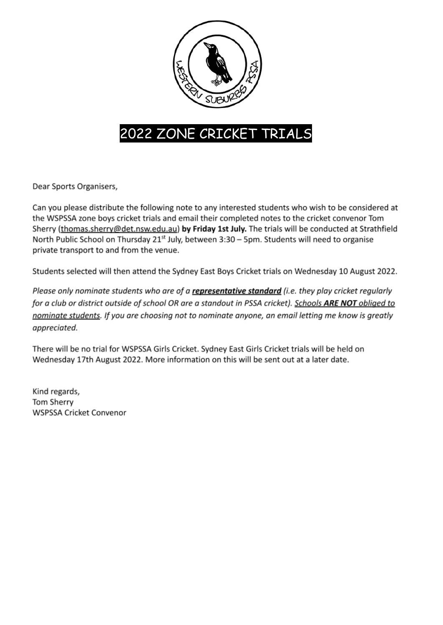

# 2022 ZONE CRICKET TRIALS

Dear Sports Organisers,

Can you please distribute the following note to any interested students who wish to be considered at the WSPSSA zone boys cricket trials and email their completed notes to the cricket convenor Tom Sherry (thomas.sherry@det.nsw.edu.au) by Friday 1st July. The trials will be conducted at Strathfield North Public School on Thursday 21<sup>st</sup> July, between 3:30 - 5pm. Students will need to organise private transport to and from the venue.

Students selected will then attend the Sydney East Boys Cricket trials on Wednesday 10 August 2022.

Please only nominate students who are of a representative standard (i.e. they play cricket regularly for a club or district outside of school OR are a standout in PSSA cricket). Schools ARE NOT obliged to nominate students. If you are choosing not to nominate anyone, an email letting me know is greatly appreciated.

There will be no trial for WSPSSA Girls Cricket. Sydney East Girls Cricket trials will be held on Wednesday 17th August 2022. More information on this will be sent out at a later date.

Kind regards, Tom Sherry **WSPSSA Cricket Convenor**